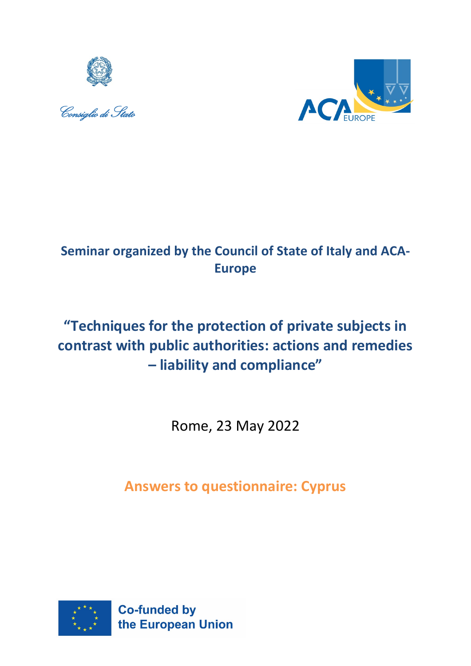





## **Seminar organized by the Council of State of Italy and ACA-Europe**

# **"Techniques for the protection of private subjects in contrast with public authorities: actions and remedies – liability and compliance"**

Rome, 23 May 2022

**Answers to questionnaire: Cyprus**

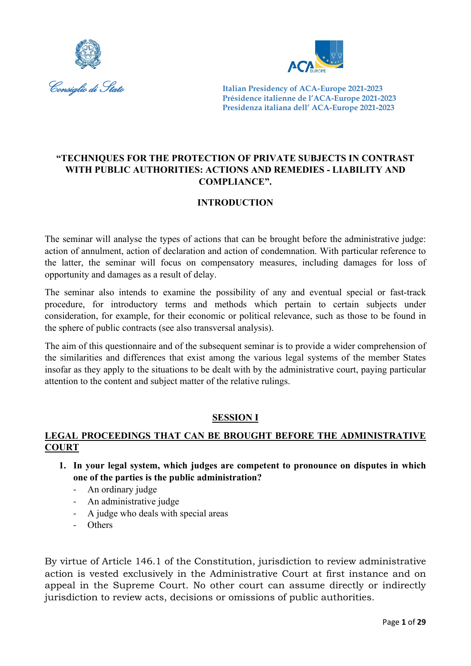



## **"TECHNIQUES FOR THE PROTECTION OF PRIVATE SUBJECTS IN CONTRAST WITH PUBLIC AUTHORITIES: ACTIONS AND REMEDIES - LIABILITY AND COMPLIANCE".**

## **INTRODUCTION**

The seminar will analyse the types of actions that can be brought before the administrative judge: action of annulment, action of declaration and action of condemnation. With particular reference to the latter, the seminar will focus on compensatory measures, including damages for loss of opportunity and damages as a result of delay.

The seminar also intends to examine the possibility of any and eventual special or fast-track procedure, for introductory terms and methods which pertain to certain subjects under consideration, for example, for their economic or political relevance, such as those to be found in the sphere of public contracts (see also transversal analysis).

The aim of this questionnaire and of the subsequent seminar is to provide a wider comprehension of the similarities and differences that exist among the various legal systems of the member States insofar as they apply to the situations to be dealt with by the administrative court, paying particular attention to the content and subject matter of the relative rulings.

## **SESSION I**

## **LEGAL PROCEEDINGS THAT CAN BE BROUGHT BEFORE THE ADMINISTRATIVE COURT**

- **1. In your legal system, which judges are competent to pronounce on disputes in which one of the parties is the public administration?**
	- An ordinary judge
	- An administrative judge
	- A judge who deals with special areas
	- Others

By virtue of Article 146.1 of the Constitution, jurisdiction to review administrative action is vested exclusively in the Administrative Court at first instance and on appeal in the Supreme Court. No other court can assume directly or indirectly jurisdiction to review acts, decisions or omissions of public authorities.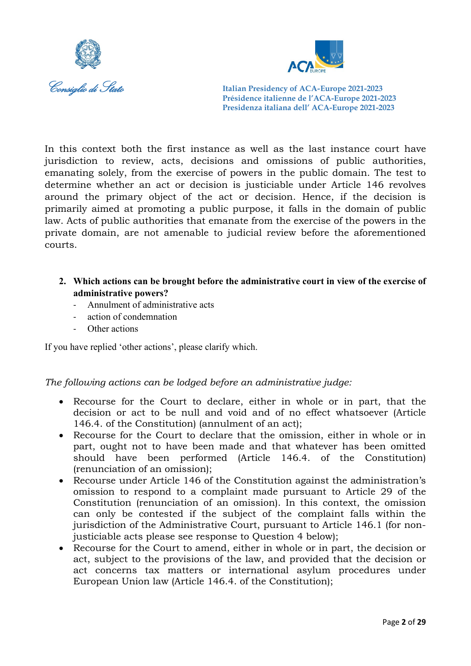



In this context both the first instance as well as the last instance court have jurisdiction to review, acts, decisions and omissions of public authorities, emanating solely, from the exercise of powers in the public domain. The test to determine whether an act or decision is justiciable under Article 146 revolves around the primary object of the act or decision. Hence, if the decision is primarily aimed at promoting a public purpose, it falls in the domain of public law. Acts of public authorities that emanate from the exercise of the powers in the private domain, are not amenable to judicial review before the aforementioned courts.

- **2. Which actions can be brought before the administrative court in view of the exercise of administrative powers?**
	- Annulment of administrative acts
	- action of condemnation
	- Other actions

If you have replied 'other actions', please clarify which.

## *The following actions can be lodged before an administrative judge:*

- Recourse for the Court to declare, either in whole or in part, that the decision or act to be null and void and of no effect whatsoever (Article 146.4. of the Constitution) (annulment of an act);
- Recourse for the Court to declare that the omission, either in whole or in part, ought not to have been made and that whatever has been omitted should have been performed (Article 146.4. of the Constitution) (renunciation of an omission);
- Recourse under Article 146 of the Constitution against the administration's omission to respond to a complaint made pursuant to Article 29 of the Constitution (renunciation of an omission). In this context, the omission can only be contested if the subject of the complaint falls within the jurisdiction of the Administrative Court, pursuant to Article 146.1 (for nonjusticiable acts please see response to Question 4 below);
- Recourse for the Court to amend, either in whole or in part, the decision or act, subject to the provisions of the law, and provided that the decision or act concerns tax matters or international asylum procedures under European Union law (Article 146.4. of the Constitution);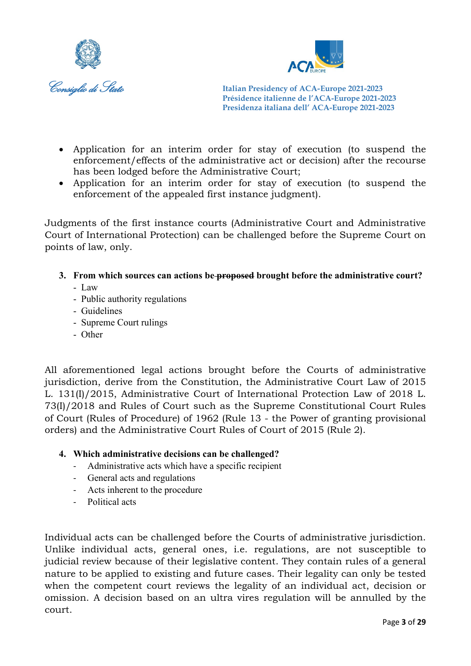



- Application for an interim order for stay of execution (to suspend the enforcement/effects of the administrative act or decision) after the recourse has been lodged before the Administrative Court;
- Application for an interim order for stay of execution (to suspend the enforcement of the appealed first instance judgment).

Judgments of the first instance courts (Administrative Court and Administrative Court of International Protection) can be challenged before the Supreme Court on points of law, only.

- **3. From which sources can actions be proposed brought before the administrative court?** 
	- Law
	- Public authority regulations
	- Guidelines
	- Supreme Court rulings
	- Other

All aforementioned legal actions brought before the Courts of administrative jurisdiction, derive from the Constitution, the Administrative Court Law of 2015 L. 131(I)/2015, Administrative Court of International Protection Law of 2018 L. 73(I)/2018 and Rules of Court such as the Supreme Constitutional Court Rules of Court (Rules of Procedure) of 1962 (Rule 13 - the Power of granting provisional orders) and the Administrative Court Rules of Court of 2015 (Rule 2).

## **4. Which administrative decisions can be challenged?**

- Administrative acts which have a specific recipient
- General acts and regulations
- Acts inherent to the procedure
- Political acts

Individual acts can be challenged before the Courts of administrative jurisdiction. Unlike individual acts, general ones, i.e. regulations, are not susceptible to judicial review because of their legislative content. They contain rules of a general nature to be applied to existing and future cases. Their legality can only be tested when the competent court reviews the legality of an individual act, decision or omission. A decision based on an ultra vires regulation will be annulled by the court.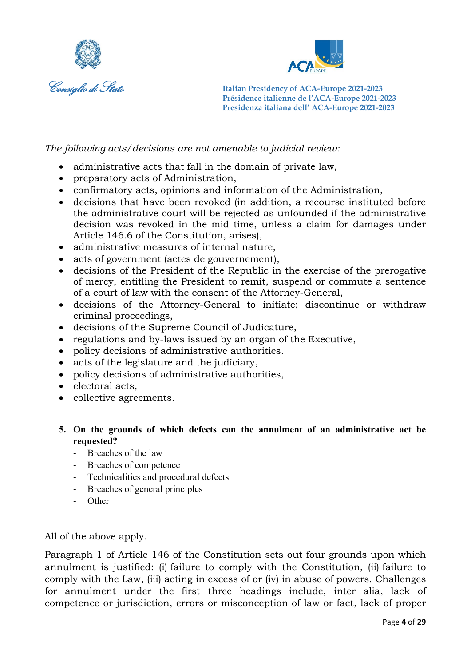



*The following acts/decisions are not amenable to judicial review:*

- administrative acts that fall in the domain of private law,
- preparatory acts of Administration,
- confirmatory acts, opinions and information of the Administration,
- decisions that have been revoked (in addition, a recourse instituted before the administrative court will be rejected as unfounded if the administrative decision was revoked in the mid time, unless a claim for damages under Article 146.6 of the Constitution, arises),
- administrative measures of internal nature,
- acts of government (actes de gouvernement),
- decisions of the President of the Republic in the exercise of the prerogative of mercy, entitling the President to remit, suspend or commute a sentence of a court of law with the consent of the Attorney-General,
- decisions of the Attorney-General to initiate; discontinue or withdraw criminal proceedings,
- decisions of the Supreme Council of Judicature,
- regulations and by-laws issued by an organ of the Executive,
- policy decisions of administrative authorities.
- acts of the legislature and the judiciary,
- policy decisions of administrative authorities,
- electoral acts,
- collective agreements.
- **5. On the grounds of which defects can the annulment of an administrative act be requested?**
	- Breaches of the law
	- Breaches of competence
	- Technicalities and procedural defects
	- Breaches of general principles
	- Other

All of the above apply.

Paragraph 1 of Article 146 of the Constitution sets out four grounds upon which annulment is justified: (i) failure to comply with the Constitution, (ii) failure to comply with the Law, (iii) acting in excess of or (iv) in abuse of powers. Challenges for annulment under the first three headings include, inter alia, lack of competence or jurisdiction, errors or misconception of law or fact, lack of proper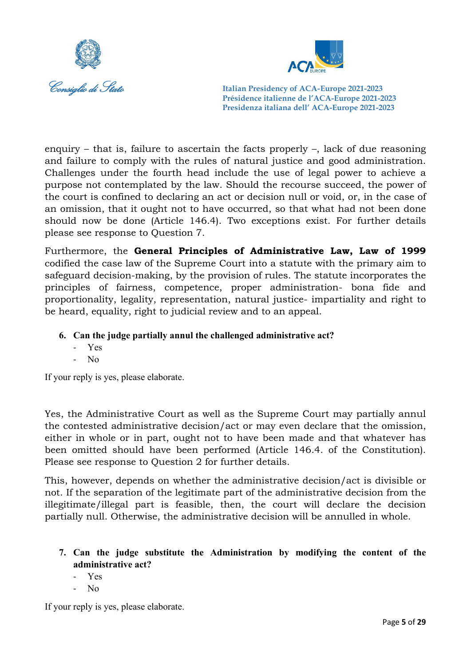



enquiry – that is, failure to ascertain the facts properly  $-$ , lack of due reasoning and failure to comply with the rules of natural justice and good administration. Challenges under the fourth head include the use of legal power to achieve a purpose not contemplated by the law. Should the recourse succeed, the power of the court is confined to declaring an act or decision null or void, or, in the case of an omission, that it ought not to have occurred, so that what had not been done should now be done (Article 146.4). Two exceptions exist. For further details please see response to Question 7.

Furthermore, the **General Principles of Administrative Law, Law of 1999** codified the case law of the Supreme Court into a statute with the primary aim to safeguard decision-making, by the provision of rules. The statute incorporates the principles of fairness, competence, proper administration- bona fide and proportionality, legality, representation, natural justice- impartiality and right to be heard, equality, right to judicial review and to an appeal.

- **6. Can the judge partially annul the challenged administrative act?**
	- Yes
	- No

If your reply is yes, please elaborate.

Yes, the Administrative Court as well as the Supreme Court may partially annul the contested administrative decision/act or may even declare that the omission, either in whole or in part, ought not to have been made and that whatever has been omitted should have been performed (Article 146.4. of the Constitution). Please see response to Question 2 for further details.

This, however, depends on whether the administrative decision/act is divisible or not. If the separation of the legitimate part of the administrative decision from the illegitimate/illegal part is feasible, then, the court will declare the decision partially null. Otherwise, the administrative decision will be annulled in whole.

- **7. Can the judge substitute the Administration by modifying the content of the administrative act?**
	- Yes
	- N<sub>o</sub>

If your reply is yes, please elaborate.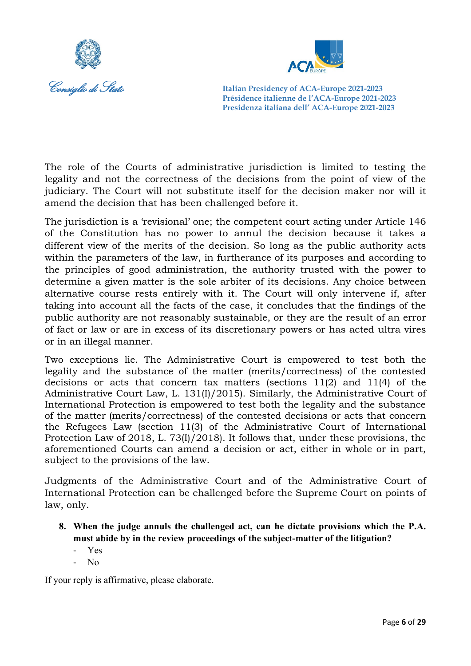



The role of the Courts of administrative jurisdiction is limited to testing the legality and not the correctness of the decisions from the point of view of the judiciary. The Court will not substitute itself for the decision maker nor will it amend the decision that has been challenged before it.

The jurisdiction is a 'revisional' one; the competent court acting under Article 146 of the Constitution has no power to annul the decision because it takes a different view of the merits of the decision. So long as the public authority acts within the parameters of the law, in furtherance of its purposes and according to the principles of good administration, the authority trusted with the power to determine a given matter is the sole arbiter of its decisions. Any choice between alternative course rests entirely with it. The Court will only intervene if, after taking into account all the facts of the case, it concludes that the findings of the public authority are not reasonably sustainable, or they are the result of an error of fact or law or are in excess of its discretionary powers or has acted ultra vires or in an illegal manner.

Two exceptions lie. The Administrative Court is empowered to test both the legality and the substance of the matter (merits/correctness) of the contested decisions or acts that concern tax matters (sections 11(2) and 11(4) of the Administrative Court Law, L. 131(I)/2015). Similarly, the Administrative Court of International Protection is empowered to test both the legality and the substance of the matter (merits/correctness) of the contested decisions or acts that concern the Refugees Law (section 11(3) of the Administrative Court of International Protection Law of 2018, L. 73(I)/2018). It follows that, under these provisions, the aforementioned Courts can amend a decision or act, either in whole or in part, subject to the provisions of the law.

Judgments of the Administrative Court and of the Administrative Court of International Protection can be challenged before the Supreme Court on points of law, only.

- **8. When the judge annuls the challenged act, can he dictate provisions which the P.A. must abide by in the review proceedings of the subject-matter of the litigation?**
	- Yes
	- $N<sub>0</sub>$

If your reply is affirmative, please elaborate.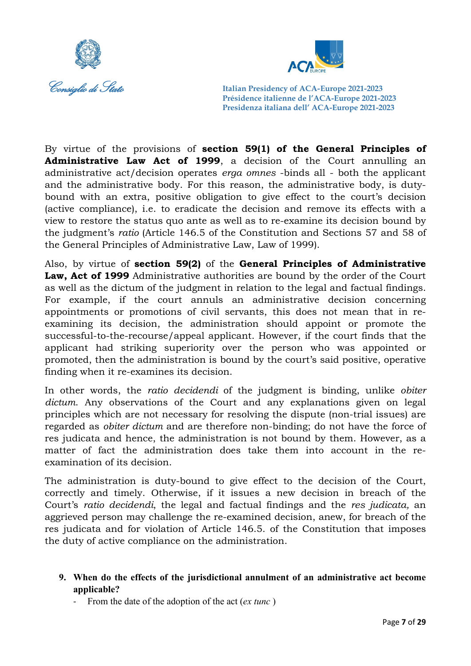



By virtue of the provisions of **section 59(1) of the General Principles of Administrative Law Act of 1999**, a decision of the Court annulling an administrative act/decision operates *erga omnes* -binds all - both the applicant and the administrative body. For this reason, the administrative body, is dutybound with an extra, positive obligation to give effect to the court's decision (active compliance), i.e. to eradicate the decision and remove its effects with a view to restore the status quo ante as well as to re-examine its decision bound by the judgment's *ratio* (Article 146.5 of the Constitution and Sections 57 and 58 of the General Principles of Administrative Law, Law of 1999).

Also, by virtue of **section 59(2)** of the **General Principles of Administrative Law, Act of 1999** Administrative authorities are bound by the order of the Court as well as the dictum of the judgment in relation to the legal and factual findings. For example, if the court annuls an administrative decision concerning appointments or promotions of civil servants, this does not mean that in reexamining its decision, the administration should appoint or promote the successful-to-the-recourse/appeal applicant. However, if the court finds that the applicant had striking superiority over the person who was appointed or promoted, then the administration is bound by the court's said positive, operative finding when it re-examines its decision.

In other words, the *ratio decidendi* of the judgment is binding, unlike *obiter dictum*. Any observations of the Court and any explanations given on legal principles which are not necessary for resolving the dispute (non-trial issues) are regarded as *obiter dictum* and are therefore non-binding; do not have the force of res judicata and hence, the administration is not bound by them. However, as a matter of fact the administration does take them into account in the reexamination of its decision.

The administration is duty-bound to give effect to the decision of the Court, correctly and timely. Otherwise, if it issues a new decision in breach of the Court's *ratio decidendi*, the legal and factual findings and the *res judicata,* an aggrieved person may challenge the re-examined decision, anew, for breach of the res judicata and for violation of Article 146.5. of the Constitution that imposes the duty of active compliance on the administration.

## **9. When do the effects of the jurisdictional annulment of an administrative act become applicable?**

- From the date of the adoption of the act (*ex tunc* )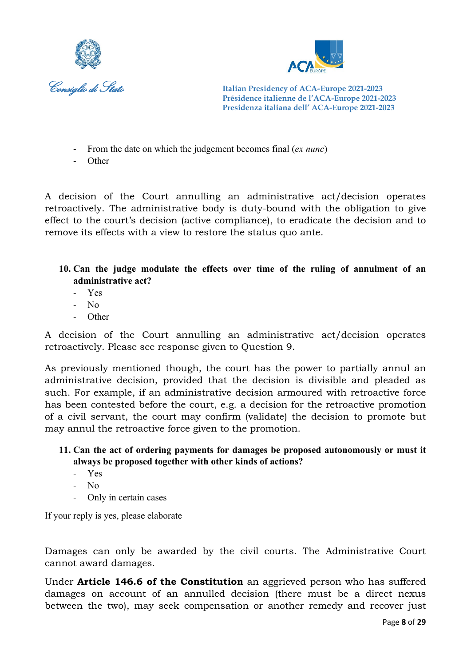



- From the date on which the judgement becomes final (*ex nunc*)
- Other

Α decision of the Court annulling an administrative act/decision operates retroactively. The administrative body is duty-bound with the obligation to give effect to the court's decision (active compliance), to eradicate the decision and to remove its effects with a view to restore the status quo ante.

- **10. Can the judge modulate the effects over time of the ruling of annulment of an administrative act?** 
	- Yes
	- No
	- **Other**

Α decision of the Court annulling an administrative act/decision operates retroactively. Please see response given to Question 9.

As previously mentioned though, the court has the power to partially annul an administrative decision, provided that the decision is divisible and pleaded as such. For example, if an administrative decision armoured with retroactive force has been contested before the court, e.g. a decision for the retroactive promotion of a civil servant, the court may confirm (validate) the decision to promote but may annul the retroactive force given to the promotion.

## **11. Can the act of ordering payments for damages be proposed autonomously or must it always be proposed together with other kinds of actions?**

- Yes
- No
- Only in certain cases

If your reply is yes, please elaborate

Damages can only be awarded by the civil courts. The Administrative Court cannot award damages.

Under **Article 146.6 of the Constitution** an aggrieved person who has suffered damages on account of an annulled decision (there must be a direct nexus between the two), may seek compensation or another remedy and recover just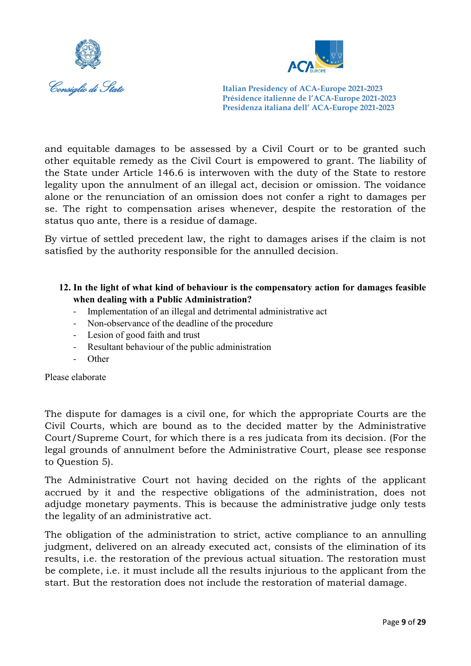



and equitable damages to be assessed by a Civil Court or to be granted such other equitable remedy as the Civil Court is empowered to grant. The liability of the State under Αrticle 146.6 is interwoven with the duty of the State to restore legality upon the annulment of an illegal act, decision or omission. The voidance alone or the renunciation of an omission does not confer a right to damages per se. The right to compensation arises whenever, despite the restoration of the status quo ante, there is a residue of damage.

By virtue of settled precedent law, the right to damages arises if the claim is not satisfied by the authority responsible for the annulled decision.

## **12. In the light of what kind of behaviour is the compensatory action for damages feasible when dealing with a Public Administration?**

- Implementation of an illegal and detrimental administrative act
- Non-observance of the deadline of the procedure
- Lesion of good faith and trust
- Resultant behaviour of the public administration
- Other

Please elaborate

The dispute for damages is a civil one, for which the appropriate Courts are the Civil Courts, which are bound as to the decided matter by the Administrative Court/Supreme Court, for which there is a res judicata from its decision. (For the legal grounds of annulment before the Administrative Court, please see response to Question 5).

The Administrative Court not having decided on the rights of the applicant accrued by it and the respective obligations of the administration, does not adjudge monetary payments. This is because the administrative judge only tests the legality of an administrative act.

The obligation of the administration to strict, active compliance to an annulling judgment, delivered on an already executed act, consists of the elimination of its results, i.e. the restoration of the previous actual situation. The restoration must be complete, i.e. it must include all the results injurious to the applicant from the start. But the restoration does not include the restoration of material damage.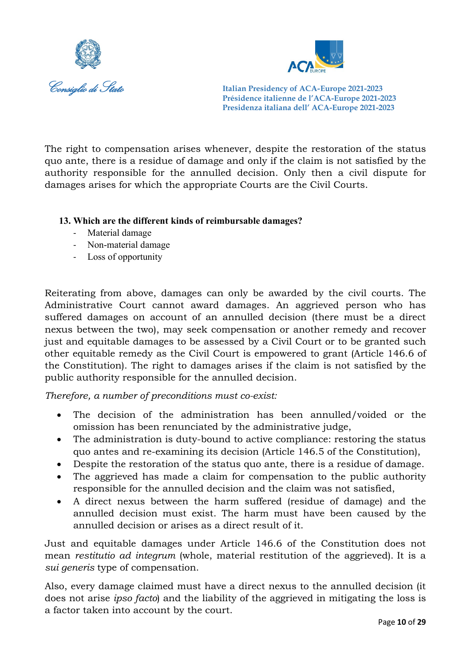



The right to compensation arises whenever, despite the restoration of the status quo ante, there is a residue of damage and only if the claim is not satisfied by the authority responsible for the annulled decision. Only then a civil dispute for damages arises for which the appropriate Courts are the Civil Courts.

## **13. Which are the different kinds of reimbursable damages?**

- Material damage
- Non-material damage
- Loss of opportunity

Reiterating from above, damages can only be awarded by the civil courts. The Administrative Court cannot award damages. An aggrieved person who has suffered damages on account of an annulled decision (there must be a direct nexus between the two), may seek compensation or another remedy and recover just and equitable damages to be assessed by a Civil Court or to be granted such other equitable remedy as the Civil Court is empowered to grant (Article 146.6 of the Constitution). The right to damages arises if the claim is not satisfied by the public authority responsible for the annulled decision.

*Therefore, a number of preconditions must co-exist:*

- The decision of the administration has been annulled/voided or the omission has been renunciated by the administrative judge,
- The administration is duty-bound to active compliance: restoring the status quo antes and re-examining its decision (Article 146.5 of the Constitution),
- Despite the restoration of the status quo ante, there is a residue of damage.
- The aggrieved has made a claim for compensation to the public authority responsible for the annulled decision and the claim was not satisfied,
- A direct nexus between the harm suffered (residue of damage) and the annulled decision must exist. The harm must have been caused by the annulled decision or arises as a direct result of it.

Just and equitable damages under Article 146.6 of the Constitution does not mean *restitutio ad integrum* (whole, material restitution of the aggrieved). It is a *sui generis* type of compensation.

Also, every damage claimed must have a direct nexus to the annulled decision (it does not arise *ipso facto*) and the liability of the aggrieved in mitigating the loss is a factor taken into account by the court.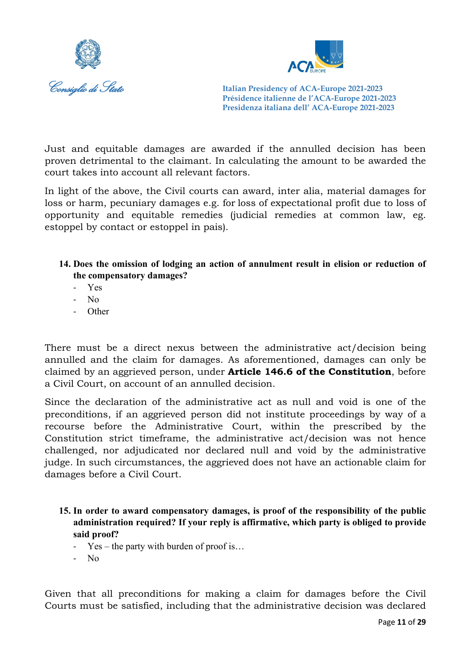



Just and equitable damages are awarded if the annulled decision has been proven detrimental to the claimant. In calculating the amount to be awarded the court takes into account all relevant factors.

In light of the above, the Civil courts can award, inter alia, material damages for loss or harm, pecuniary damages e.g. for loss of expectational profit due to loss of opportunity and equitable remedies (judicial remedies at common law, eg. estoppel by contact or estoppel in pais).

- **14. Does the omission of lodging an action of annulment result in elision or reduction of the compensatory damages?** 
	- Yes
	- No
	- Other

There must be a direct nexus between the administrative act/decision being annulled and the claim for damages. As aforementioned, damages can only be claimed by an aggrieved person, under **Article 146.6 of the Constitution**, before a Civil Court, on account of an annulled decision.

Since the declaration of the administrative act as null and void is one of the preconditions, if an aggrieved person did not institute proceedings by way of a recourse before the Administrative Court, within the prescribed by the Constitution strict timeframe, the administrative act/decision was not hence challenged, nor adjudicated nor declared null and void by the administrative judge. In such circumstances, the aggrieved does not have an actionable claim for damages before a Civil Court.

- **15. In order to award compensatory damages, is proof of the responsibility of the public administration required? If your reply is affirmative, which party is obliged to provide said proof?** 
	- Yes the party with burden of proof is…
	- No

Given that all preconditions for making a claim for damages before the Civil Courts must be satisfied, including that the administrative decision was declared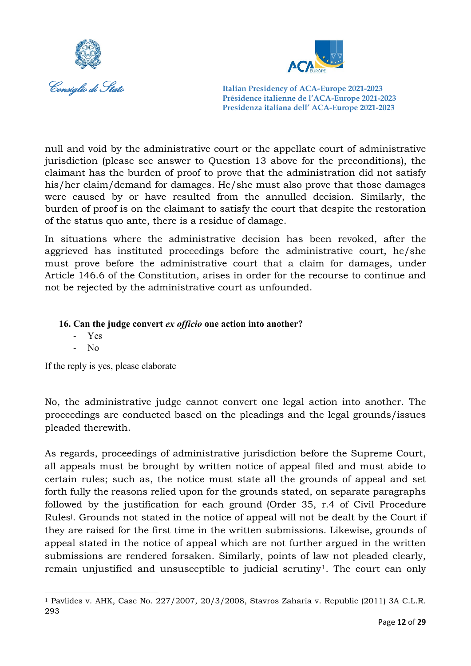



null and void by the administrative court or the appellate court of administrative jurisdiction (please see answer to Question 13 above for the preconditions), the claimant has the burden of proof to prove that the administration did not satisfy his/her claim/demand for damages. He/she must also prove that those damages were caused by or have resulted from the annulled decision. Similarly, the burden of proof is on the claimant to satisfy the court that despite the restoration of the status quo ante, there is a residue of damage.

In situations where the administrative decision has been revoked, after the aggrieved has instituted proceedings before the administrative court, he/she must prove before the administrative court that a claim for damages, under Article 146.6 of the Constitution, arises in order for the recourse to continue and not be rejected by the administrative court as unfounded.

## **16. Can the judge convert** *ex officio* **one action into another?**

- Yes
- No

If the reply is yes, please elaborate

No, the administrative judge cannot convert one legal action into another. The proceedings are conducted based on the pleadings and the legal grounds/issues pleaded therewith.

As regards, proceedings of administrative jurisdiction before the Supreme Court, all appeals must be brought by written notice of appeal filed and must abide to certain rules; such as, the notice must state all the grounds of appeal and set forth fully the reasons relied upon for the grounds stated, on separate paragraphs followed by the justification for each ground (Order 35, r.4 of Civil Procedure Rules) . Grounds not stated in the notice of appeal will not be dealt by the Court if they are raised for the first time in the written submissions. Likewise, grounds of appeal stated in the notice of appeal which are not further argued in the written submissions are rendered forsaken. Similarly, points of law not pleaded clearly, remain unjustified and unsusceptible to judicial scrutiny<sup>1</sup>. The court can only

<span id="page-12-0"></span> $1$  Pavlides v. AHK, Case No. 227/2007, 20/3/2008, Stavros Zaharia v. Republic (2011) 3A C.L.R. 293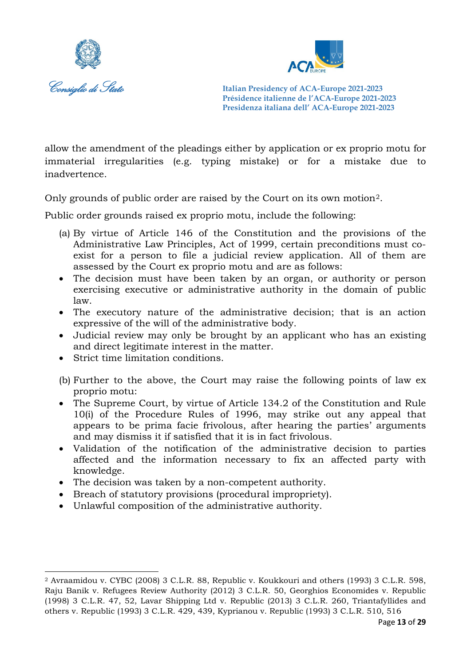



allow the amendment of the pleadings either by application or ex proprio motu for immaterial irregularities (e.g. typing mistake) or for a mistake due to inadvertence.

Only grounds of public order are raised by the Court on its own motion[2](#page-13-0).

Public order grounds raised ex proprio motu, include the following:

- (a) By virtue of Article 146 of the Constitution and the provisions of the Administrative Law Principles, Act of 1999, certain preconditions must coexist for a person to file a judicial review application. All of them are assessed by the Court ex proprio motu and are as follows:
- The decision must have been taken by an organ, or authority or person exercising executive or administrative authority in the domain of public law.
- The executory nature of the administrative decision; that is an action expressive of the will of the administrative body.
- Judicial review may only be brought by an applicant who has an existing and direct legitimate interest in the matter.
- Strict time limitation conditions.
- (b) Further to the above, the Court may raise the following points of law ex proprio motu:
- The Supreme Court, by virtue of Article 134.2 of the Constitution and Rule 10(i) of the Procedure Rules of 1996, may strike out any appeal that appears to be prima facie frivolous, after hearing the parties' arguments and may dismiss it if satisfied that it is in fact frivolous.
- Validation of the notification of the administrative decision to parties affected and the information necessary to fix an affected party with knowledge.
- The decision was taken by a non-competent authority.
- Breach of statutory provisions (procedural impropriety).
- Unlawful composition of the administrative authority.

<span id="page-13-0"></span><sup>2</sup> Avraamidou v. CYBC (2008) 3 C.L.R. 88, Republic v. Koukkouri and others (1993) 3 C.L.R. 598, Raju Banik v. Refugees Review Authority (2012) 3 C.L.R. 50, Georghios Economides v. Republic (1998) 3 C.L.R. 47, 52, Lavar Shipping Ltd v. Republic (2013) 3 C.L.R. 260, Triantafyllides and others v. Republic (1993) 3 C.L.R. 429, 439, Kyprianou v. Republic (1993) 3 C.L.R. 510, 516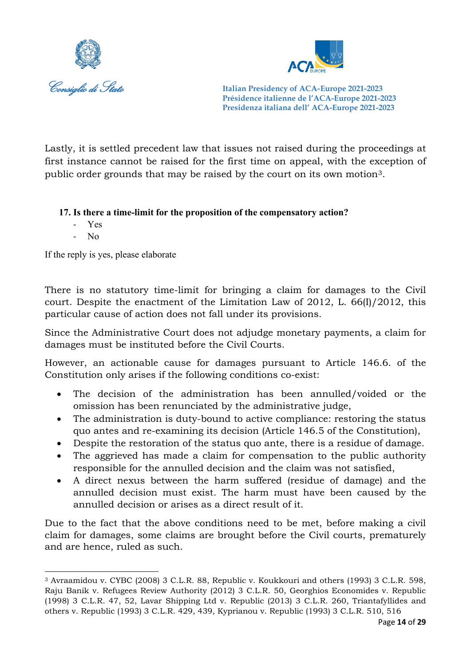



Lastly, it is settled precedent law that issues not raised during the proceedings at first instance cannot be raised for the first time on appeal, with the exception of public order grounds that may be raised by the court on its own motion[3](#page-14-0).

## **17. Is there a time-limit for the proposition of the compensatory action?**

- Yes
- No

If the reply is yes, please elaborate

There is no statutory time-limit for bringing a claim for damages to the Civil court. Despite the enactment of the Limitation Law of 2012, L. 66(I)/2012, this particular cause of action does not fall under its provisions.

Since the Administrative Court does not adjudge monetary payments, a claim for damages must be instituted before the Civil Courts.

However, an actionable cause for damages pursuant to Article 146.6. of the Constitution only arises if the following conditions co-exist:

- The decision of the administration has been annulled/voided or the omission has been renunciated by the administrative judge,
- The administration is duty-bound to active compliance: restoring the status quo antes and re-examining its decision (Article 146.5 of the Constitution),
- Despite the restoration of the status quo ante, there is a residue of damage.
- The aggrieved has made a claim for compensation to the public authority responsible for the annulled decision and the claim was not satisfied,
- A direct nexus between the harm suffered (residue of damage) and the annulled decision must exist. The harm must have been caused by the annulled decision or arises as a direct result of it.

Due to the fact that the above conditions need to be met, before making a civil claim for damages, some claims are brought before the Civil courts, prematurely and are hence, ruled as such.

<span id="page-14-0"></span><sup>3</sup> Avraamidou v. CYBC (2008) 3 C.L.R. 88, Republic v. Koukkouri and others (1993) 3 C.L.R. 598, Raju Banik v. Refugees Review Authority (2012) 3 C.L.R. 50, Georghios Economides v. Republic (1998) 3 C.L.R. 47, 52, Lavar Shipping Ltd v. Republic (2013) 3 C.L.R. 260, Triantafyllides and others v. Republic (1993) 3 C.L.R. 429, 439, Kyprianou v. Republic (1993) 3 C.L.R. 510, 516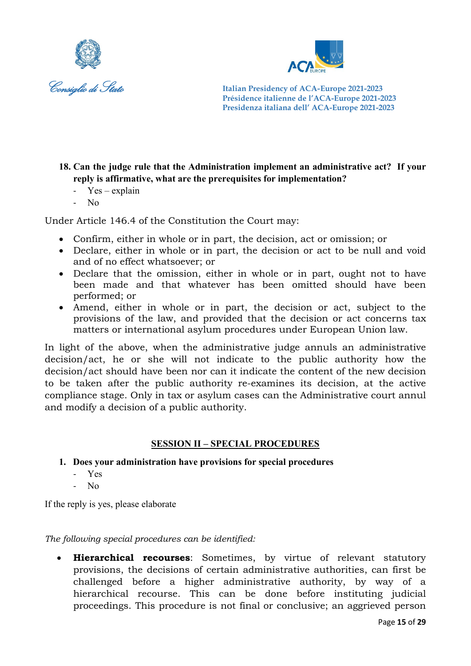



## **18. Can the judge rule that the Administration implement an administrative act? If your reply is affirmative, what are the prerequisites for implementation?**

- Yes explain
- No

Under Article 146.4 of the Constitution the Court may:

- Confirm, either in whole or in part, the decision, act or omission; or
- Declare, either in whole or in part, the decision or act to be null and void and of no effect whatsoever; or
- Declare that the omission, either in whole or in part, ought not to have been made and that whatever has been omitted should have been performed; or
- Amend, either in whole or in part, the decision or act, subject to the provisions of the law, and provided that the decision or act concerns tax matters or international asylum procedures under European Union law.

In light of the above, when the administrative judge annuls an administrative decision/act, he or she will not indicate to the public authority how the decision/act should have been nor can it indicate the content of the new decision to be taken after the public authority re-examines its decision, at the active compliance stage. Only in tax or asylum cases can the Administrative court annul and modify a decision of a public authority.

## **SESSION II – SPECIAL PROCEDURES**

- **1. Does your administration have provisions for special procedures**
	- Yes
	- No

If the reply is yes, please elaborate

*The following special procedures can be identified:*

• **Hierarchical recourses**: Sometimes, by virtue of relevant statutory provisions, the decisions of certain administrative authorities, can first be challenged before a higher administrative authority, by way of a hierarchical recourse. This can be done before instituting judicial proceedings. This procedure is not final or conclusive; an aggrieved person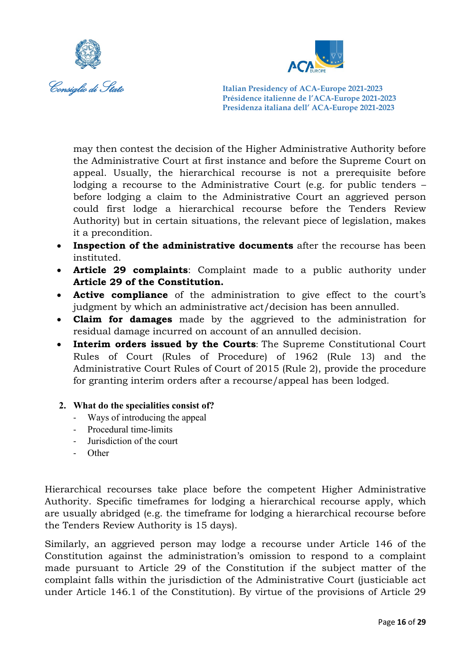



may then contest the decision of the Higher Administrative Authority before the Administrative Court at first instance and before the Supreme Court on appeal. Usually, the hierarchical recourse is not a prerequisite before lodging a recourse to the Administrative Court (e.g. for public tenders – before lodging a claim to the Administrative Court an aggrieved person could first lodge a hierarchical recourse before the Tenders Review Authority) but in certain situations, the relevant piece of legislation, makes it a precondition.

- **Inspection of the administrative documents** after the recourse has been instituted.
- **Article 29 complaints**: Complaint made to a public authority under **Article 29 of the Constitution.**
- **Active compliance** of the administration to give effect to the court's judgment by which an administrative act/decision has been annulled.
- **Claim for damages** made by the aggrieved to the administration for residual damage incurred on account of an annulled decision.
- **Interim orders issued by the Courts**: The Supreme Constitutional Court Rules of Court (Rules of Procedure) of 1962 (Rule 13) and the Administrative Court Rules of Court of 2015 (Rule 2), provide the procedure for granting interim orders after a recourse/appeal has been lodged.
- **2. What do the specialities consist of?**
	- Ways of introducing the appeal
	- Procedural time-limits
	- Jurisdiction of the court
	- **Other**

Hierarchical recourses take place before the competent Higher Administrative Authority. Specific timeframes for lodging a hierarchical recourse apply, which are usually abridged (e.g. the timeframe for lodging a hierarchical recourse before the Tenders Review Authority is 15 days).

Similarly, an aggrieved person may lodge a recourse under Article 146 of the Constitution against the administration's omission to respond to a complaint made pursuant to Article 29 of the Constitution if the subject matter of the complaint falls within the jurisdiction of the Administrative Court (justiciable act under Article 146.1 of the Constitution). By virtue of the provisions of Article 29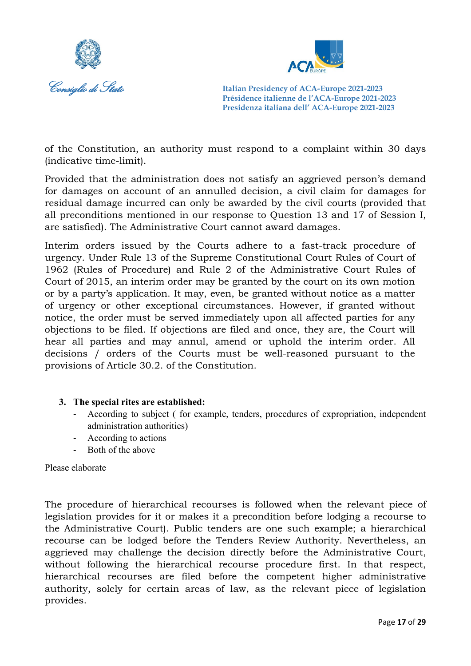



of the Constitution, an authority must respond to a complaint within 30 days (indicative time-limit).

Provided that the administration does not satisfy an aggrieved person's demand for damages on account of an annulled decision, a civil claim for damages for residual damage incurred can only be awarded by the civil courts (provided that all preconditions mentioned in our response to Question 13 and 17 of Session I, are satisfied). The Administrative Court cannot award damages.

Interim orders issued by the Courts adhere to a fast-track procedure of urgency. Under Rule 13 of the Supreme Constitutional Court Rules of Court of 1962 (Rules of Procedure) and Rule 2 of the Administrative Court Rules of Court of 2015, an interim order may be granted by the court on its own motion or by a party's application. It may, even, be granted without notice as a matter of urgency or other exceptional circumstances. However, if granted without notice, the order must be served immediately upon all affected parties for any objections to be filed. If objections are filed and once, they are, the Court will hear all parties and may annul, amend or uphold the interim order. All decisions / orders of the Courts must be well-reasoned pursuant to the provisions of Article 30.2. of the Constitution.

## **3. The special rites are established:**

- According to subject ( for example, tenders, procedures of expropriation, independent administration authorities)
- According to actions
- Both of the above

Please elaborate

The procedure of hierarchical recourses is followed when the relevant piece of legislation provides for it or makes it a precondition before lodging a recourse to the Administrative Court). Public tenders are one such example; a hierarchical recourse can be lodged before the Tenders Review Authority. Nevertheless, an aggrieved may challenge the decision directly before the Administrative Court, without following the hierarchical recourse procedure first. In that respect, hierarchical recourses are filed before the competent higher administrative authority, solely for certain areas of law, as the relevant piece of legislation provides.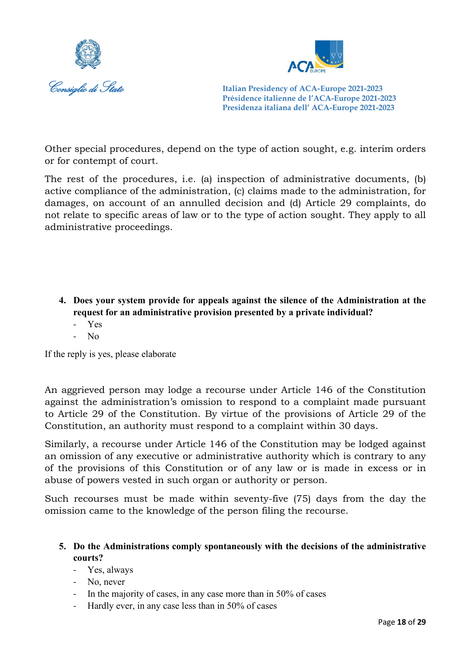



Other special procedures, depend on the type of action sought, e.g. interim orders or for contempt of court.

The rest of the procedures, i.e. (a) inspection of administrative documents, (b) active compliance of the administration, (c) claims made to the administration, for damages, on account of an annulled decision and (d) Article 29 complaints, do not relate to specific areas of law or to the type of action sought. They apply to all administrative proceedings.

- **4. Does your system provide for appeals against the silence of the Administration at the request for an administrative provision presented by a private individual?**
	- Yes
	- $N<sub>0</sub>$

If the reply is yes, please elaborate

An aggrieved person may lodge a recourse under Article 146 of the Constitution against the administration's omission to respond to a complaint made pursuant to Article 29 of the Constitution. By virtue of the provisions of Article 29 of the Constitution, an authority must respond to a complaint within 30 days.

Similarly, a recourse under Article 146 of the Constitution may be lodged against an omission of any executive or administrative authority which is contrary to any of the provisions of this Constitution or of any law or is made in excess or in abuse of powers vested in such organ or authority or person.

Such recourses must be made within seventy-five (75) days from the day the omission came to the knowledge of the person filing the recourse.

## **5. Do the Administrations comply spontaneously with the decisions of the administrative courts?**

- Yes, always
- No, never
- In the majority of cases, in any case more than in 50% of cases
- Hardly ever, in any case less than in 50% of cases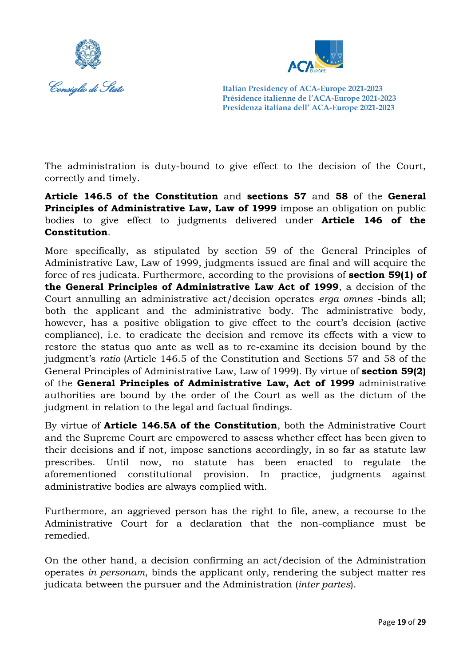



The administration is duty-bound to give effect to the decision of the Court, correctly and timely.

**Article 146.5 of the Constitution** and **sections 57** and **58** of the **General Principles of Administrative Law, Law of 1999** impose an obligation on public bodies to give effect to judgments delivered under **Article 146 of the Constitution**.

More specifically, as stipulated by section 59 of the General Principles of Administrative Law, Law of 1999, judgments issued are final and will acquire the force of res judicata. Furthermore, according to the provisions of **section 59(1) of the General Principles of Administrative Law Act of 1999**, a decision of the Court annulling an administrative act/decision operates *erga omnes* -binds all; both the applicant and the administrative body. The administrative body, however, has a positive obligation to give effect to the court's decision (active compliance), i.e. to eradicate the decision and remove its effects with a view to restore the status quo ante as well as to re-examine its decision bound by the judgment's *ratio* (Article 146.5 of the Constitution and Sections 57 and 58 of the General Principles of Administrative Law, Law of 1999). By virtue of **section 59(2)** of the **General Principles of Administrative Law, Act of 1999** administrative authorities are bound by the order of the Court as well as the dictum of the judgment in relation to the legal and factual findings.

By virtue of **Article 146.5A of the Constitution**, both the Administrative Court and the Supreme Court are empowered to assess whether effect has been given to their decisions and if not, impose sanctions accordingly, in so far as statute law prescribes. Until now, no statute has been enacted to regulate the aforementioned constitutional provision. In practice, judgments against administrative bodies are always complied with.

Furthermore, an aggrieved person has the right to file, anew, a recourse to the Administrative Court for a declaration that the non-compliance must be remedied.

On the other hand, a decision confirming an act/decision of the Administration operates *in personam*, binds the applicant only, rendering the subject matter res judicata between the pursuer and the Administration (*inter partes*).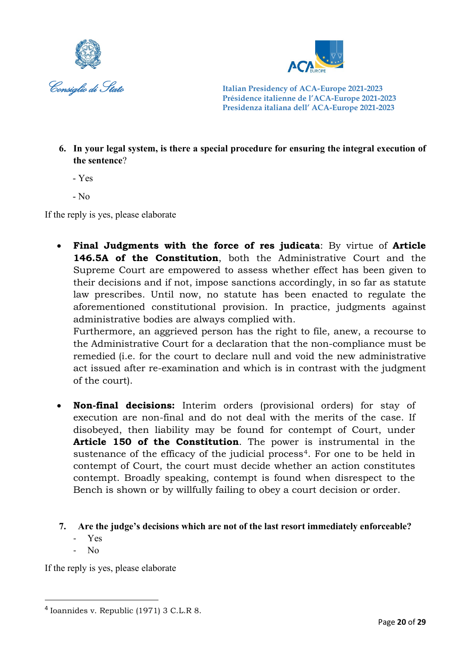



**6. In your legal system, is there a special procedure for ensuring the integral execution of the sentence**?

- Yes

 $-$  No

If the reply is yes, please elaborate

• **Final Judgments with the force of res judicata**: By virtue of **Article 146.5A of the Constitution**, both the Administrative Court and the Supreme Court are empowered to assess whether effect has been given to their decisions and if not, impose sanctions accordingly, in so far as statute law prescribes. Until now, no statute has been enacted to regulate the aforementioned constitutional provision. In practice, judgments against administrative bodies are always complied with.

Furthermore, an aggrieved person has the right to file, anew, a recourse to the Administrative Court for a declaration that the non-compliance must be remedied (i.e. for the court to declare null and void the new administrative act issued after re-examination and which is in contrast with the judgment of the court).

- **Non-final decisions:** Interim orders (provisional orders) for stay of execution are non-final and do not deal with the merits of the case. If disobeyed, then liability may be found for contempt of Court, under **Article 150 of the Constitution**. The power is instrumental in the sustenance of the efficacy of the judicial process<sup>[4](#page-20-0)</sup>. For one to be held in contempt of Court, the court must decide whether an action constitutes contempt. Broadly speaking, contempt is found when disrespect to the Bench is shown or by willfully failing to obey a court decision or order.
- **7. Are the judge's decisions which are not of the last resort immediately enforceable?**
	- Yes
	- No

If the reply is yes, please elaborate

<span id="page-20-0"></span><sup>4</sup> Ioannides v. Republic (1971) 3 C.L.R 8.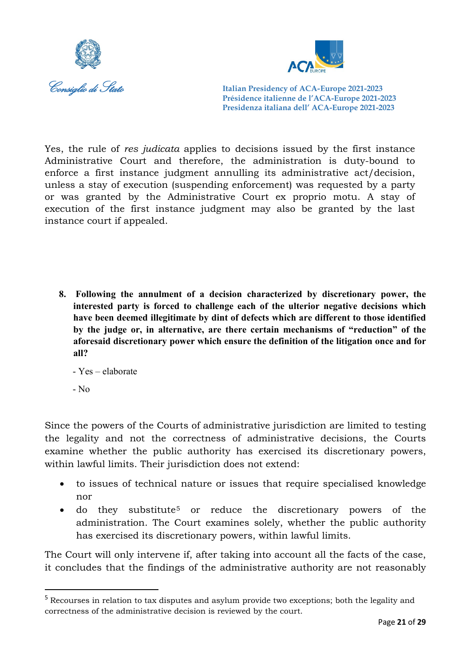



Yes, the rule of *res judicata* applies to decisions issued by the first instance Administrative Court and therefore, the administration is duty-bound to enforce a first instance judgment annulling its administrative act/decision, unless a stay of execution (suspending enforcement) was requested by a party or was granted by the Administrative Court ex proprio motu. A stay of execution of the first instance judgment may also be granted by the last instance court if appealed.

**8. Following the annulment of a decision characterized by discretionary power, the interested party is forced to challenge each of the ulterior negative decisions which have been deemed illegitimate by dint of defects which are different to those identified by the judge or, in alternative, are there certain mechanisms of "reduction" of the aforesaid discretionary power which ensure the definition of the litigation once and for all?**

- Yes – elaborate

- No

Since the powers of the Courts of administrative jurisdiction are limited to testing the legality and not the correctness of administrative decisions, the Courts examine whether the public authority has exercised its discretionary powers, within lawful limits. Their jurisdiction does not extend:

- to issues of technical nature or issues that require specialised knowledge nor
- do they substitute<sup>[5](#page-21-0)</sup> or reduce the discretionary powers of the administration. The Court examines solely, whether the public authority has exercised its discretionary powers, within lawful limits.

The Court will only intervene if, after taking into account all the facts of the case, it concludes that the findings of the administrative authority are not reasonably

<span id="page-21-0"></span><sup>&</sup>lt;sup>5</sup> Recourses in relation to tax disputes and asylum provide two exceptions; both the legality and correctness of the administrative decision is reviewed by the court.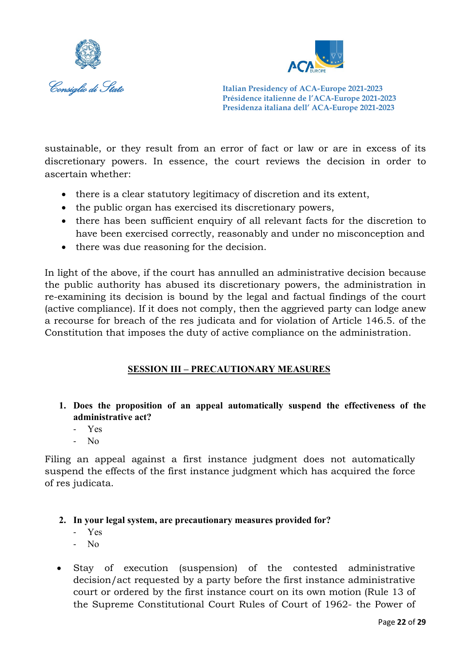



sustainable, or they result from an error of fact or law or are in excess of its discretionary powers. In essence, the court reviews the decision in order to ascertain whether:

- there is a clear statutory legitimacy of discretion and its extent,
- the public organ has exercised its discretionary powers,
- there has been sufficient enquiry of all relevant facts for the discretion to have been exercised correctly, reasonably and under no misconception and
- there was due reasoning for the decision.

In light of the above, if the court has annulled an administrative decision because the public authority has abused its discretionary powers, the administration in re-examining its decision is bound by the legal and factual findings of the court (active compliance). If it does not comply, then the aggrieved party can lodge anew a recourse for breach of the res judicata and for violation of Article 146.5. of the Constitution that imposes the duty of active compliance on the administration.

## **SESSION III – PRECAUTIONARY MEASURES**

- **1. Does the proposition of an appeal automatically suspend the effectiveness of the administrative act?** 
	- Yes
	- No

Filing an appeal against a first instance judgment does not automatically suspend the effects of the first instance judgment which has acquired the force of res judicata.

## **2. In your legal system, are precautionary measures provided for?**

- Yes
- No
- Stay of execution (suspension) of the contested administrative decision/act requested by a party before the first instance administrative court or ordered by the first instance court on its own motion (Rule 13 of the Supreme Constitutional Court Rules of Court of 1962- the Power of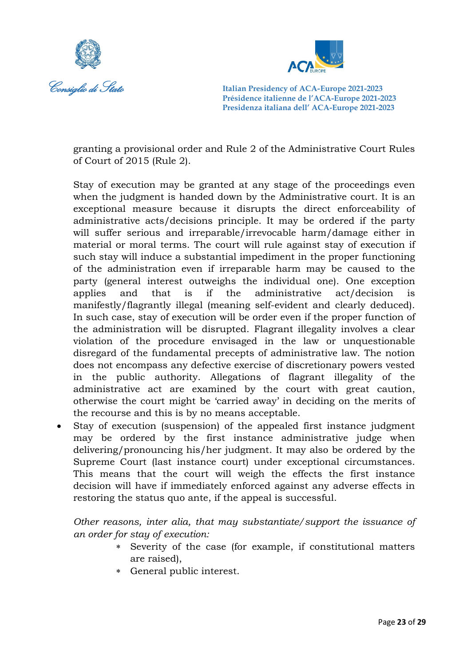



granting a provisional order and Rule 2 of the Administrative Court Rules of Court of 2015 (Rule 2).

Stay of execution may be granted at any stage of the proceedings even when the judgment is handed down by the Administrative court. It is an exceptional measure because it disrupts the direct enforceability of administrative acts/decisions principle. It may be ordered if the party will suffer serious and irreparable/irrevocable harm/damage either in material or moral terms. The court will rule against stay of execution if such stay will induce a substantial impediment in the proper functioning of the administration even if irreparable harm may be caused to the party (general interest outweighs the individual one). One exception applies and that is if the administrative act/decision is manifestly/flagrantly illegal (meaning self-evident and clearly deduced). In such case, stay of execution will be order even if the proper function of the administration will be disrupted. Flagrant illegality involves a clear violation of the procedure envisaged in the law or unquestionable disregard of the fundamental precepts of administrative law. The notion does not encompass any defective exercise of discretionary powers vested in the public authority. Allegations of flagrant illegality of the administrative act are examined by the court with great caution, otherwise the court might be 'carried away' in deciding on the merits of the recourse and this is by no means acceptable.

• Stay of execution (suspension) of the appealed first instance judgment may be ordered by the first instance administrative judge when delivering/pronouncing his/her judgment. It may also be ordered by the Supreme Court (last instance court) under exceptional circumstances. This means that the court will weigh the effects the first instance decision will have if immediately enforced against any adverse effects in restoring the status quo ante, if the appeal is successful.

*Other reasons, inter alia, that may substantiate/support the issuance of an order for stay of execution:*

- ∗ Severity of the case (for example, if constitutional matters are raised),
- ∗ General public interest.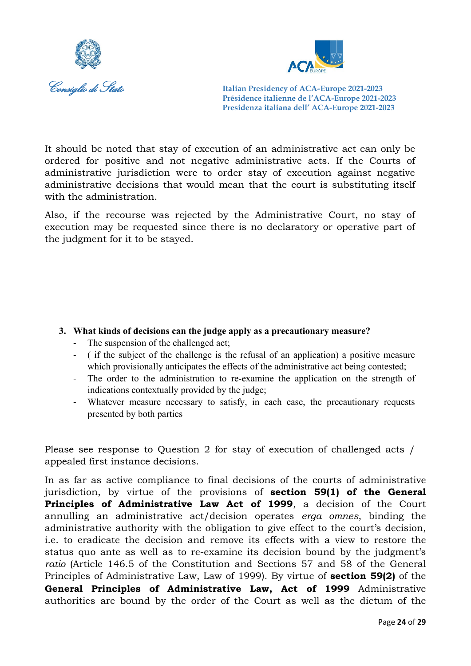



It should be noted that stay of execution of an administrative act can only be ordered for positive and not negative administrative acts. If the Courts of administrative jurisdiction were to order stay of execution against negative administrative decisions that would mean that the court is substituting itself with the administration.

Also, if the recourse was rejected by the Administrative Court, no stay of execution may be requested since there is no declaratory or operative part of the judgment for it to be stayed.

## **3. What kinds of decisions can the judge apply as a precautionary measure?**

- The suspension of the challenged act;
- ( if the subject of the challenge is the refusal of an application) a positive measure which provisionally anticipates the effects of the administrative act being contested;
- The order to the administration to re-examine the application on the strength of indications contextually provided by the judge;
- Whatever measure necessary to satisfy, in each case, the precautionary requests presented by both parties

Please see response to Question 2 for stay of execution of challenged acts / appealed first instance decisions.

In as far as active compliance to final decisions of the courts of administrative jurisdiction, by virtue of the provisions of **section 59(1) of the General Principles of Administrative Law Act of 1999**, a decision of the Court annulling an administrative act/decision operates *erga omnes*, binding the administrative authority with the obligation to give effect to the court's decision, i.e. to eradicate the decision and remove its effects with a view to restore the status quo ante as well as to re-examine its decision bound by the judgment's *ratio* (Article 146.5 of the Constitution and Sections 57 and 58 of the General Principles of Administrative Law, Law of 1999). By virtue of **section 59(2)** of the **General Principles of Administrative Law, Act of 1999** Administrative authorities are bound by the order of the Court as well as the dictum of the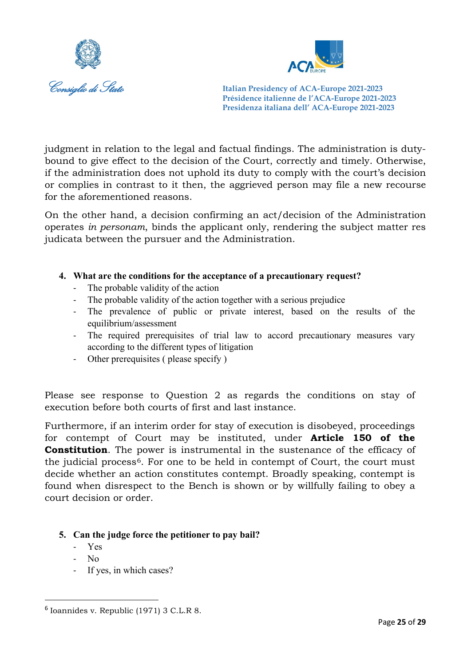



judgment in relation to the legal and factual findings. The administration is dutybound to give effect to the decision of the Court, correctly and timely. Otherwise, if the administration does not uphold its duty to comply with the court's decision or complies in contrast to it then, the aggrieved person may file a new recourse for the aforementioned reasons.

On the other hand, a decision confirming an act/decision of the Administration operates *in personam*, binds the applicant only, rendering the subject matter res judicata between the pursuer and the Administration.

## **4. What are the conditions for the acceptance of a precautionary request?**

- The probable validity of the action
- The probable validity of the action together with a serious prejudice
- The prevalence of public or private interest, based on the results of the equilibrium/assessment
- The required prerequisites of trial law to accord precautionary measures vary according to the different types of litigation
- Other prerequisites ( please specify )

Please see response to Question 2 as regards the conditions on stay of execution before both courts of first and last instance.

Furthermore, if an interim order for stay of execution is disobeyed, proceedings for contempt of Court may be instituted, under **Article 150 of the Constitution**. The power is instrumental in the sustenance of the efficacy of the judicial process<sup> $6$ </sup>. For one to be held in contempt of Court, the court must decide whether an action constitutes contempt. Broadly speaking, contempt is found when disrespect to the Bench is shown or by willfully failing to obey a court decision or order.

- **5. Can the judge force the petitioner to pay bail?**
	- Yes
	- No
	- If yes, in which cases?

<span id="page-25-0"></span> $6$  Ioannides v. Republic (1971) 3 C.L.R 8.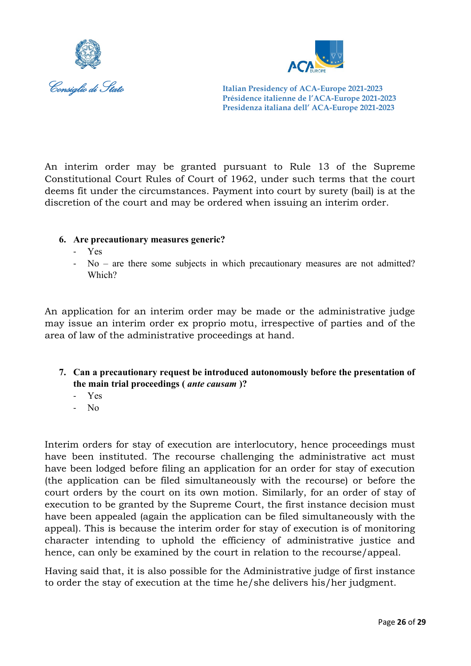



An interim order may be granted pursuant to Rule 13 of the Supreme Constitutional Court Rules of Court of 1962, under such terms that the court deems fit under the circumstances. Payment into court by surety (bail) is at the discretion of the court and may be ordered when issuing an interim order.

## **6. Are precautionary measures generic?**

- Yes
- $No are there some subjects in which precautionary measures are not admitted?$ Which?

An application for an interim order may be made or the administrative judge may issue an interim order ex proprio motu, irrespective of parties and of the area of law of the administrative proceedings at hand.

- **7. Can a precautionary request be introduced autonomously before the presentation of the main trial proceedings (** *ante causam* **)?**
	- Yes
	- No

Interim orders for stay of execution are interlocutory, hence proceedings must have been instituted. The recourse challenging the administrative act must have been lodged before filing an application for an order for stay of execution (the application can be filed simultaneously with the recourse) or before the court orders by the court on its own motion. Similarly, for an order of stay of execution to be granted by the Supreme Court, the first instance decision must have been appealed (again the application can be filed simultaneously with the appeal). This is because the interim order for stay of execution is of monitoring character intending to uphold the efficiency of administrative justice and hence, can only be examined by the court in relation to the recourse/appeal.

Having said that, it is also possible for the Administrative judge of first instance to order the stay of execution at the time he/she delivers his/her judgment.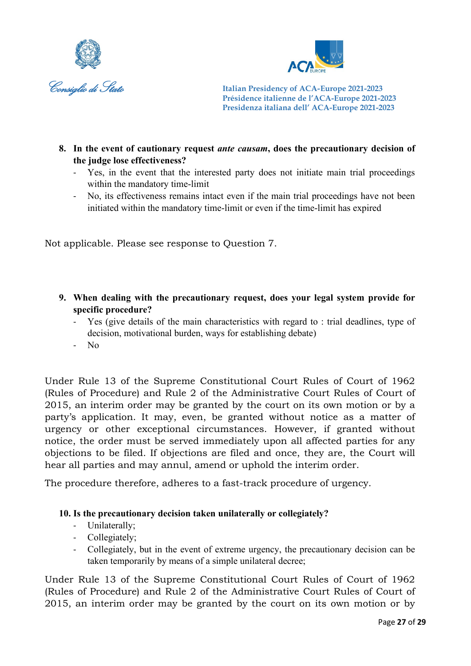



- **8. In the event of cautionary request** *ante causam***, does the precautionary decision of the judge lose effectiveness?**
	- Yes, in the event that the interested party does not initiate main trial proceedings within the mandatory time-limit
	- No, its effectiveness remains intact even if the main trial proceedings have not been initiated within the mandatory time-limit or even if the time-limit has expired

Not applicable. Please see response to Question 7.

- **9. When dealing with the precautionary request, does your legal system provide for specific procedure?**
	- Yes (give details of the main characteristics with regard to : trial deadlines, type of decision, motivational burden, ways for establishing debate)
	- No

Under Rule 13 of the Supreme Constitutional Court Rules of Court of 1962 (Rules of Procedure) and Rule 2 of the Administrative Court Rules of Court of 2015, an interim order may be granted by the court on its own motion or by a party's application. It may, even, be granted without notice as a matter of urgency or other exceptional circumstances. However, if granted without notice, the order must be served immediately upon all affected parties for any objections to be filed. If objections are filed and once, they are, the Court will hear all parties and may annul, amend or uphold the interim order.

The procedure therefore, adheres to a fast-track procedure of urgency.

## **10. Is the precautionary decision taken unilaterally or collegiately?**

- Unilaterally;
- Collegiately;
- Collegiately, but in the event of extreme urgency, the precautionary decision can be taken temporarily by means of a simple unilateral decree;

Under Rule 13 of the Supreme Constitutional Court Rules of Court of 1962 (Rules of Procedure) and Rule 2 of the Administrative Court Rules of Court of 2015, an interim order may be granted by the court on its own motion or by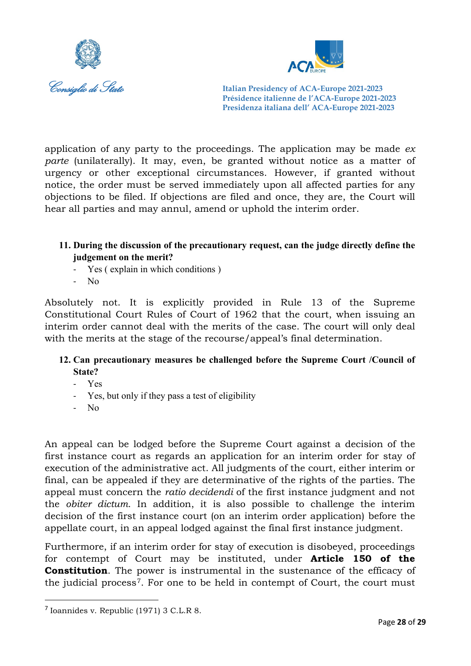



application of any party to the proceedings. The application may be made *ex parte* (unilaterally). It may, even, be granted without notice as a matter of urgency or other exceptional circumstances. However, if granted without notice, the order must be served immediately upon all affected parties for any objections to be filed. If objections are filed and once, they are, the Court will hear all parties and may annul, amend or uphold the interim order.

## **11. During the discussion of the precautionary request, can the judge directly define the judgement on the merit?**

- Yes (explain in which conditions)
- No

Absolutely not. It is explicitly provided in Rule 13 of the Supreme Constitutional Court Rules of Court of 1962 that the court, when issuing an interim order cannot deal with the merits of the case. The court will only deal with the merits at the stage of the recourse/appeal's final determination.

## **12. Can precautionary measures be challenged before the Supreme Court /Council of State?**

- Yes
- Yes, but only if they pass a test of eligibility
- No

An appeal can be lodged before the Supreme Court against a decision of the first instance court as regards an application for an interim order for stay of execution of the administrative act. All judgments of the court, either interim or final, can be appealed if they are determinative of the rights of the parties. The appeal must concern the *ratio decidendi* of the first instance judgment and not the *obiter dictum*. In addition, it is also possible to challenge the interim decision of the first instance court (on an interim order application) before the appellate court, in an appeal lodged against the final first instance judgment.

Furthermore, if an interim order for stay of execution is disobeyed, proceedings for contempt of Court may be instituted, under **Article 150 of the Constitution**. The power is instrumental in the sustenance of the efficacy of the judicial process[7](#page-28-0). For one to be held in contempt of Court, the court must

<span id="page-28-0"></span><sup>7</sup> Ioannides v. Republic (1971) 3 C.L.R 8.